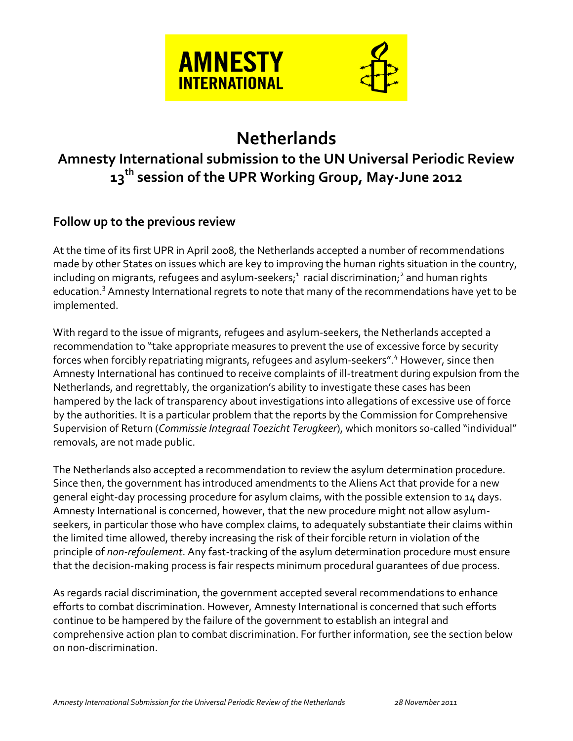

# **Netherlands**

## **Amnesty International submission to the UN Universal Periodic Review 13th session of the UPR Working Group, May-June 2012**

### **Follow up to the previous review**

At the time of its first UPR in April 2008, the Netherlands accepted a number of recommendations made by other States on issues which are key to improving the human rights situation in the country, including on migrants, refugees and asylum-seekers; $^{\rm 1}$  racial discrimination; $^{\rm 2}$  and human rights education.<sup>3</sup> Amnesty International regrets to note that many of the recommendations have yet to be implemented.

With regard to the issue of migrants, refugees and asylum-seekers, the Netherlands accepted a recommendation to "take appropriate measures to prevent the use of excessive force by security forces when forcibly repatriating migrants, refugees and asylum-seekers".<sup>4</sup> However, since then Amnesty International has continued to receive complaints of ill-treatment during expulsion from the Netherlands, and regrettably, the organization's ability to investigate these cases has been hampered by the lack of transparency about investigations into allegations of excessive use of force by the authorities. It is a particular problem that the reports by the Commission for Comprehensive Supervision of Return (*Commissie Integraal Toezicht Terugkeer*), which monitors so-called "individual" removals, are not made public.

The Netherlands also accepted a recommendation to review the asylum determination procedure. Since then, the government has introduced amendments to the Aliens Act that provide for a new general eight-day processing procedure for asylum claims, with the possible extension to 14 days. Amnesty International is concerned, however, that the new procedure might not allow asylumseekers, in particular those who have complex claims, to adequately substantiate their claims within the limited time allowed, thereby increasing the risk of their forcible return in violation of the principle of *non-refoulement*. Any fast-tracking of the asylum determination procedure must ensure that the decision-making process is fair respects minimum procedural guarantees of due process.

As regards racial discrimination, the government accepted several recommendations to enhance efforts to combat discrimination. However, Amnesty International is concerned that such efforts continue to be hampered by the failure of the government to establish an integral and comprehensive action plan to combat discrimination. For further information, see the section below on non-discrimination.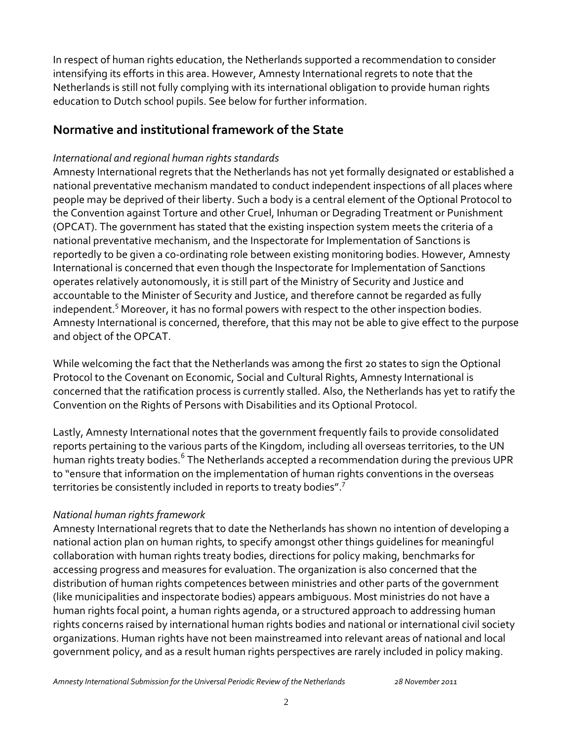In respect of human rights education, the Netherlands supported a recommendation to consider intensifying its efforts in this area. However, Amnesty International regrets to note that the Netherlands is still not fully complying with its international obligation to provide human rights education to Dutch school pupils. See below for further information.

## **Normative and institutional framework of the State**

#### *International and regional human rights standards*

Amnesty International regrets that the Netherlands has not yet formally designated or established a national preventative mechanism mandated to conduct independent inspections of all places where people may be deprived of their liberty. Such a body is a central element of the Optional Protocol to the Convention against Torture and other Cruel, Inhuman or Degrading Treatment or Punishment (OPCAT). The government has stated that the existing inspection system meets the criteria of a national preventative mechanism, and the Inspectorate for Implementation of Sanctions is reportedly to be given a co-ordinating role between existing monitoring bodies. However, Amnesty International is concerned that even though the Inspectorate for Implementation of Sanctions operates relatively autonomously, it is still part of the Ministry of Security and Justice and accountable to the Minister of Security and Justice, and therefore cannot be regarded as fully independent.<sup>5</sup> Moreover, it has no formal powers with respect to the other inspection bodies. Amnesty International is concerned, therefore, that this may not be able to give effect to the purpose and object of the OPCAT.

While welcoming the fact that the Netherlands was among the first 20 states to sign the Optional Protocol to the Covenant on Economic, Social and Cultural Rights, Amnesty International is concerned that the ratification process is currently stalled. Also, the Netherlands has yet to ratify the Convention on the Rights of Persons with Disabilities and its Optional Protocol.

Lastly, Amnesty International notes that the government frequently fails to provide consolidated reports pertaining to the various parts of the Kingdom, including all overseas territories, to the UN human rights treaty bodies.<sup>6</sup> The Netherlands accepted a recommendation during the previous UPR to "ensure that information on the implementation of human rights conventions in the overseas territories be consistently included in reports to treaty bodies".<sup>7</sup>

#### *National human rights framework*

Amnesty International regrets that to date the Netherlands has shown no intention of developing a national action plan on human rights, to specify amongst other things guidelines for meaningful collaboration with human rights treaty bodies, directions for policy making, benchmarks for accessing progress and measures for evaluation. The organization is also concerned that the distribution of human rights competences between ministries and other parts of the government (like municipalities and inspectorate bodies) appears ambiguous. Most ministries do not have a human rights focal point, a human rights agenda, or a structured approach to addressing human rights concerns raised by international human rights bodies and national or international civil society organizations. Human rights have not been mainstreamed into relevant areas of national and local government policy, and as a result human rights perspectives are rarely included in policy making.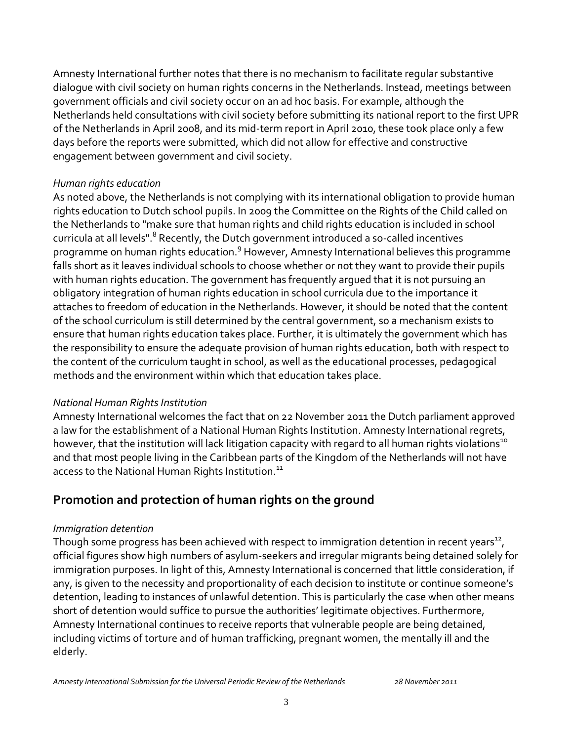Amnesty International further notes that there is no mechanism to facilitate regular substantive dialogue with civil society on human rights concerns in the Netherlands. Instead, meetings between government officials and civil society occur on an ad hoc basis. For example, although the Netherlands held consultations with civil society before submitting its national report to the first UPR of the Netherlands in April 2008, and its mid-term report in April 2010, these took place only a few days before the reports were submitted, which did not allow for effective and constructive engagement between government and civil society.

#### *Human rights education*

As noted above, the Netherlands is not complying with its international obligation to provide human rights education to Dutch school pupils. In 2009 the Committee on the Rights of the Child called on the Netherlands to "make sure that human rights and child rights education is included in school curricula at all levels".<sup>8</sup> Recently, the Dutch government introduced a so-called incentives programme on human rights education.<sup>9</sup> However, Amnesty International believes this programme falls short as it leaves individual schools to choose whether or not they want to provide their pupils with human rights education. The government has frequently argued that it is not pursuing an obligatory integration of human rights education in school curricula due to the importance it attaches to freedom of education in the Netherlands. However, it should be noted that the content of the school curriculum is still determined by the central government, so a mechanism exists to ensure that human rights education takes place. Further, it is ultimately the government which has the responsibility to ensure the adequate provision of human rights education, both with respect to the content of the curriculum taught in school, as well as the educational processes, pedagogical methods and the environment within which that education takes place.

#### *National Human Rights Institution*

Amnesty International welcomes the fact that on 22 November 2011 the Dutch parliament approved a law for the establishment of a National Human Rights Institution. Amnesty International regrets, however, that the institution will lack litigation capacity with regard to all human rights violations<sup>10</sup> and that most people living in the Caribbean parts of the Kingdom of the Netherlands will not have access to the National Human Rights Institution.<sup>11</sup>

## **Promotion and protection of human rights on the ground**

#### *Immigration detention*

Though some progress has been achieved with respect to immigration detention in recent years $^{12}$ , official figures show high numbers of asylum-seekers and irregular migrants being detained solely for immigration purposes. In light of this, Amnesty International is concerned that little consideration, if any, is given to the necessity and proportionality of each decision to institute or continue someone's detention, leading to instances of unlawful detention. This is particularly the case when other means short of detention would suffice to pursue the authorities' legitimate objectives. Furthermore, Amnesty International continues to receive reports that vulnerable people are being detained, including victims of torture and of human trafficking, pregnant women, the mentally ill and the elderly.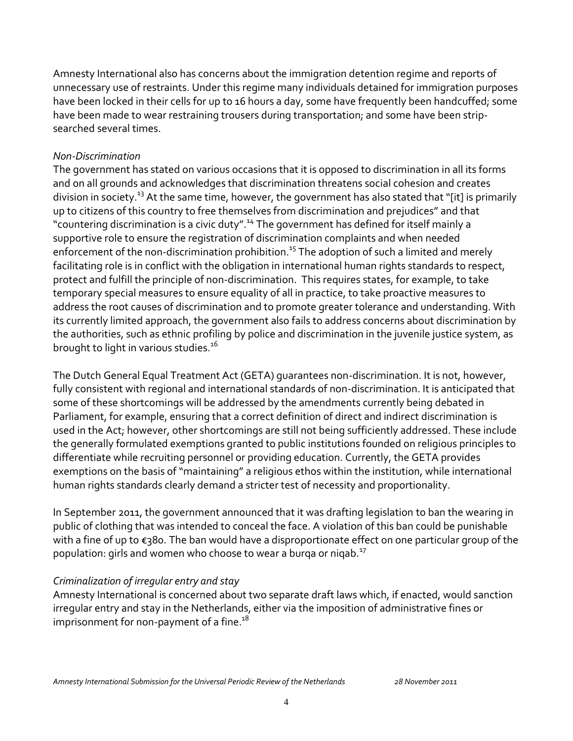Amnesty International also has concerns about the immigration detention regime and reports of unnecessary use of restraints. Under this regime many individuals detained for immigration purposes have been locked in their cells for up to 16 hours a day, some have frequently been handcuffed; some have been made to wear restraining trousers during transportation; and some have been stripsearched several times.

#### *Non-Discrimination*

The government has stated on various occasions that it is opposed to discrimination in all its forms and on all grounds and acknowledges that discrimination threatens social cohesion and creates division in society.<sup>13</sup> At the same time, however, the government has also stated that "[it] is primarily up to citizens of this country to free themselves from discrimination and prejudices" and that "countering discrimination is a civic duty".<sup>14</sup> The government has defined for itself mainly a supportive role to ensure the registration of discrimination complaints and when needed enforcement of the non-discrimination prohibition.<sup>15</sup> The adoption of such a limited and merely facilitating role is in conflict with the obligation in international human rights standards to respect, protect and fulfill the principle of non-discrimination. This requires states, for example, to take temporary special measures to ensure equality of all in practice, to take proactive measures to address the root causes of discrimination and to promote greater tolerance and understanding. With its currently limited approach, the government also fails to address concerns about discrimination by the authorities, such as ethnic profiling by police and discrimination in the juvenile justice system, as brought to light in various studies.<sup>16</sup>

The Dutch General Equal Treatment Act (GETA) guarantees non-discrimination. It is not, however, fully consistent with regional and international standards of non-discrimination. It is anticipated that some of these shortcomings will be addressed by the amendments currently being debated in Parliament, for example, ensuring that a correct definition of direct and indirect discrimination is used in the Act; however, other shortcomings are still not being sufficiently addressed. These include the generally formulated exemptions granted to public institutions founded on religious principles to differentiate while recruiting personnel or providing education. Currently, the GETA provides exemptions on the basis of "maintaining" a religious ethos within the institution, while international human rights standards clearly demand a stricter test of necessity and proportionality.

In September 2011, the government announced that it was drafting legislation to ban the wearing in public of clothing that was intended to conceal the face. A violation of this ban could be punishable with a fine of up to €380. The ban would have a disproportionate effect on one particular group of the population: girls and women who choose to wear a burga or nigab.<sup>17</sup>

#### *Criminalization of irregular entry and stay*

Amnesty International is concerned about two separate draft laws which, if enacted, would sanction irregular entry and stay in the Netherlands, either via the imposition of administrative fines or imprisonment for non-payment of a fine.<sup>18</sup>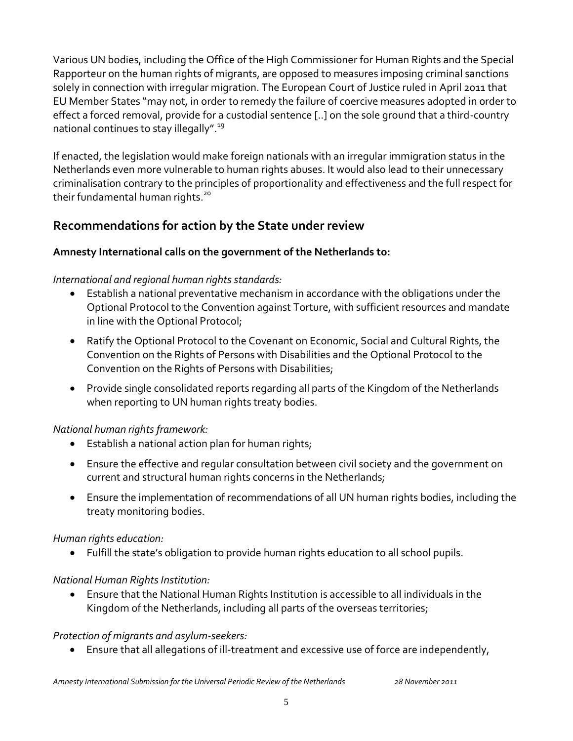Various UN bodies, including the Office of the High Commissioner for Human Rights and the Special Rapporteur on the human rights of migrants, are opposed to measures imposing criminal sanctions solely in connection with irregular migration. The European Court of Justice ruled in April 2011 that EU Member States "may not, in order to remedy the failure of coercive measures adopted in order to effect a forced removal, provide for a custodial sentence [..] on the sole ground that a third-country national continues to stay illegally". 19

If enacted, the legislation would make foreign nationals with an irregular immigration status in the Netherlands even more vulnerable to human rights abuses. It would also lead to their unnecessary criminalisation contrary to the principles of proportionality and effectiveness and the full respect for their fundamental human rights.<sup>20</sup>

## **Recommendations for action by the State under review**

#### **Amnesty International calls on the government of the Netherlands to:**

#### *International and regional human rights standards:*

- Establish a national preventative mechanism in accordance with the obligations under the Optional Protocol to the Convention against Torture, with sufficient resources and mandate in line with the Optional Protocol;
- Ratify the Optional Protocol to the Covenant on Economic, Social and Cultural Rights, the Convention on the Rights of Persons with Disabilities and the Optional Protocol to the Convention on the Rights of Persons with Disabilities;
- Provide single consolidated reports regarding all parts of the Kingdom of the Netherlands when reporting to UN human rights treaty bodies.

#### *National human rights framework:*

- Establish a national action plan for human rights;
- Ensure the effective and regular consultation between civil society and the government on current and structural human rights concerns in the Netherlands;
- Ensure the implementation of recommendations of all UN human rights bodies, including the treaty monitoring bodies.

#### *Human rights education:*

Fulfill the state's obligation to provide human rights education to all school pupils.

#### *National Human Rights Institution:*

 Ensure that the National Human Rights Institution is accessible to all individuals in the Kingdom of the Netherlands, including all parts of the overseas territories;

#### *Protection of migrants and asylum-seekers:*

Ensure that all allegations of ill-treatment and excessive use of force are independently,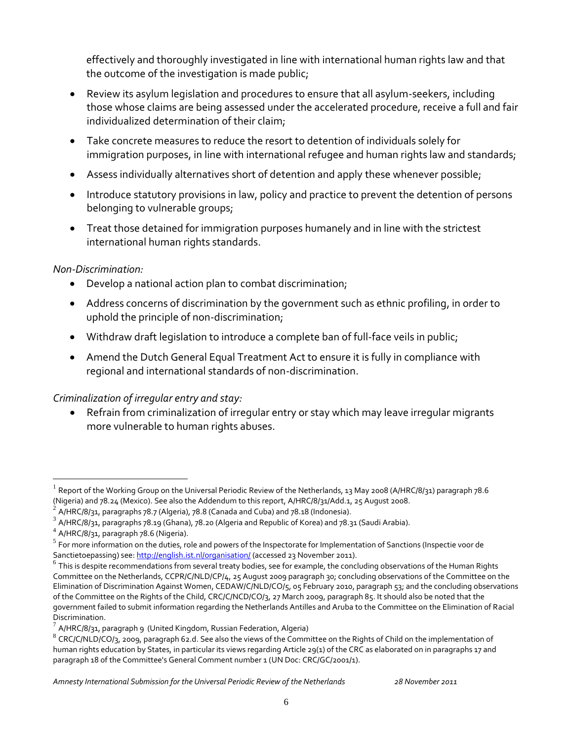effectively and thoroughly investigated in line with international human rights law and that the outcome of the investigation is made public;

- Review its asylum legislation and procedures to ensure that all asylum-seekers, including those whose claims are being assessed under the accelerated procedure, receive a full and fair individualized determination of their claim;
- Take concrete measures to reduce the resort to detention of individuals solely for immigration purposes, in line with international refugee and human rights law and standards;
- Assess individually alternatives short of detention and apply these whenever possible;
- Introduce statutory provisions in law, policy and practice to prevent the detention of persons belonging to vulnerable groups;
- Treat those detained for immigration purposes humanely and in line with the strictest international human rights standards.

#### *Non-Discrimination:*

- Develop a national action plan to combat discrimination;
- Address concerns of discrimination by the government such as ethnic profiling, in order to uphold the principle of non-discrimination;
- Withdraw draft legislation to introduce a complete ban of full-face veils in public;
- Amend the Dutch General Equal Treatment Act to ensure it is fully in compliance with regional and international standards of non-discrimination.

#### *Criminalization of irregular entry and stay:*

 Refrain from criminalization of irregular entry or stay which may leave irregular migrants more vulnerable to human rights abuses.

 $\overline{a}$ 

<sup>1</sup> Report of the Working Group on the Universal Periodic Review of the Netherlands, 13 May 2008 (A/HRC/8/31) paragraph 78.6 (Nigeria) and 78.24 (Mexico). See also the Addendum to this report, A/HRC/8/31/Add.1, 25 August 2008.

<sup>2</sup> A/HRC/8/31, paragraphs 78.7 (Algeria), 78.8 (Canada and Cuba) and 78.18 (Indonesia).

 $^3$  A/HRC/8/31, paragraphs 78.19 (Ghana), 78.20 (Algeria and Republic of Korea) and 78.31 (Saudi Arabia).

<sup>4</sup> A/HRC/8/31, paragraph 78.6 (Nigeria).

 $^5$  For more information on the duties, role and powers of the Inspectorate for Implementation of Sanctions (Inspectie voor de Sanctietoepassing) see[: http://english.ist.nl/organisation/](http://english.ist.nl/organisation/) (accessed 23 November 2011).

<sup>&</sup>lt;sup>6</sup> This is despite recommendations from several treaty bodies, see for example, the concluding observations of the Human Rights Committee on the Netherlands, CCPR/C/NLD/CP/4, 25 August 2009 paragraph 30; concluding observations of the Committee on the Elimination of Discrimination Against Women, CEDAW/C/NLD/CO/5, 05 February 2010, paragraph 53; and the concluding observations of the Committee on the Rights of the Child, CRC/C/NCD/CO/3, 27 March 2009, paragraph 85. It should also be noted that the government failed to submit information regarding the Netherlands Antilles and Aruba to the Committee on the Elimination of Racial Discrimination.

 $^7$  A/HRC/8/31, paragraph 9 (United Kingdom, Russian Federation, Algeria)

 $^8$  CRC/C/NLD/CO/3, 2009, paragraph 62.d. See also the views of the Committee on the Rights of Child on the implementation of human rights education by States, in particular its views regarding Article 29(1) of the CRC as elaborated on in paragraphs 17 and paragraph 18 of the Committee's General Comment number 1 (UN Doc: CRC/GC/2001/1).